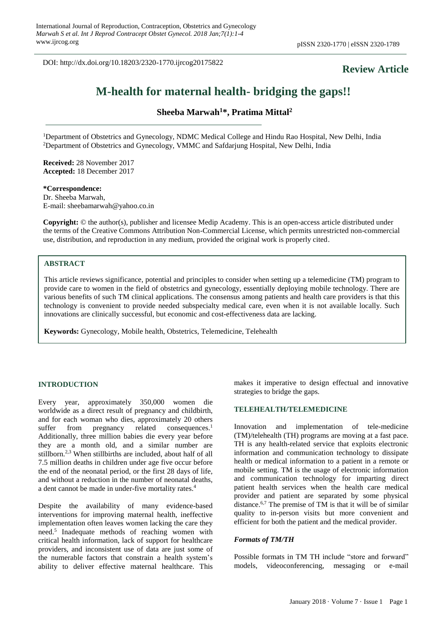DOI: http://dx.doi.org/10.18203/2320-1770.ijrcog20175822

# **Review Article**

# **M-health for maternal health- bridging the gaps!!**

**Sheeba Marwah<sup>1</sup>\*, Pratima Mittal<sup>2</sup>**

<sup>1</sup>Department of Obstetrics and Gynecology, NDMC Medical College and Hindu Rao Hospital, New Delhi, India <sup>2</sup>Department of Obstetrics and Gynecology, VMMC and Safdarjung Hospital, New Delhi, India

**Received:** 28 November 2017 **Accepted:** 18 December 2017

**\*Correspondence:** Dr. Sheeba Marwah, E-mail: sheebamarwah@yahoo.co.in

**Copyright:** © the author(s), publisher and licensee Medip Academy. This is an open-access article distributed under the terms of the Creative Commons Attribution Non-Commercial License, which permits unrestricted non-commercial use, distribution, and reproduction in any medium, provided the original work is properly cited.

# **ABSTRACT**

This article reviews significance, potential and principles to consider when setting up a telemedicine (TM) program to provide care to women in the field of obstetrics and gynecology, essentially deploying mobile technology. There are various benefits of such TM clinical applications. The consensus among patients and health care providers is that this technology is convenient to provide needed subspecialty medical care, even when it is not available locally. Such innovations are clinically successful, but economic and cost-effectiveness data are lacking.

**Keywords:** Gynecology, Mobile health, Obstetrics, Telemedicine, Telehealth

# **INTRODUCTION**

Every year, approximately 350,000 women die worldwide as a direct result of pregnancy and childbirth, and for each woman who dies, approximately 20 others suffer from pregnancy related consequences.<sup>1</sup> Additionally, three million babies die every year before they are a month old, and a similar number are stillborn.<sup>2,3</sup> When stillbirths are included, about half of all 7.5 million deaths in children under age five occur before the end of the neonatal period, or the first 28 days of life, and without a reduction in the number of neonatal deaths, a dent cannot be made in under-five mortality rates.<sup>4</sup>

Despite the availability of many evidence-based interventions for improving maternal health, ineffective implementation often leaves women lacking the care they need.<sup>5</sup> Inadequate methods of reaching women with critical health information, lack of support for healthcare providers, and inconsistent use of data are just some of the numerable factors that constrain a health system's ability to deliver effective maternal healthcare. This makes it imperative to design effectual and innovative strategies to bridge the gaps.

# **TELEHEALTH/TELEMEDICINE**

Innovation and implementation of tele-medicine (TM)/telehealth (TH) programs are moving at a fast pace. TH is any health-related service that exploits electronic information and communication technology to dissipate health or medical information to a patient in a remote or mobile setting. TM is the usage of electronic information and communication technology for imparting direct patient health services when the health care medical provider and patient are separated by some physical distance.<sup>6,7</sup> The premise of TM is that it will be of similar quality to in-person visits but more convenient and efficient for both the patient and the medical provider.

#### *Formats of TM/TH*

Possible formats in TM TH include "store and forward" models, videoconferencing, messaging or e-mail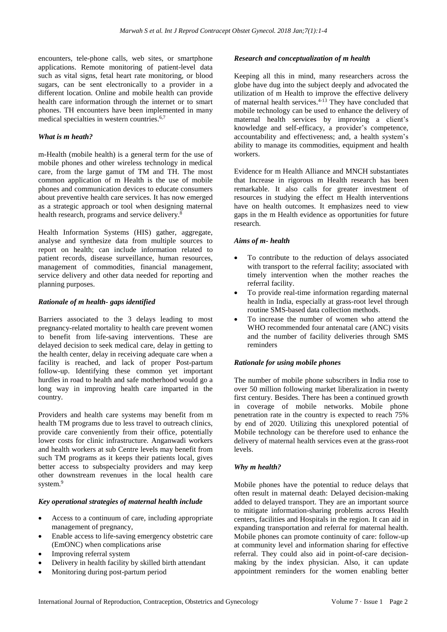encounters, tele-phone calls, web sites, or smartphone applications. Remote monitoring of patient-level data such as vital signs, fetal heart rate monitoring, or blood sugars, can be sent electronically to a provider in a different location. Online and mobile health can provide health care information through the internet or to smart phones. TH encounters have been implemented in many medical specialties in western countries.<sup>6,7</sup>

#### *What is m heath?*

m-Health (mobile health) is a general term for the use of mobile phones and other wireless technology in medical care, from the large gamut of TM and TH. The most common application of m Health is the use of mobile phones and communication devices to educate consumers about preventive health care services. It has now emerged as a strategic approach or tool when designing maternal health research, programs and service delivery.<sup>8</sup>

Health Information Systems (HIS) gather, aggregate, analyse and synthesize data from multiple sources to report on health; can include information related to patient records, disease surveillance, human resources, management of commodities, financial management, service delivery and other data needed for reporting and planning purposes.

#### *Rationale of m health- gaps identified*

Barriers associated to the 3 delays leading to most pregnancy-related mortality to health care prevent women to benefit from life-saving interventions. These are delayed decision to seek medical care, delay in getting to the health center, delay in receiving adequate care when a facility is reached, and lack of proper Post-partum follow-up. Identifying these common yet important hurdles in road to health and safe motherhood would go a long way in improving health care imparted in the country.

Providers and health care systems may benefit from m health TM programs due to less travel to outreach clinics, provide care conveniently from their office, potentially lower costs for clinic infrastructure. Anganwadi workers and health workers at sub Centre levels may benefit from such TM programs as it keeps their patients local, gives better access to subspecialty providers and may keep other downstream revenues in the local health care system.<sup>9</sup>

# *Key operational strategies of maternal health include*

- Access to a continuum of care, including appropriate management of pregnancy,
- Enable access to life-saving emergency obstetric care (EmONC) when complications arise
- Improving referral system
- Delivery in health facility by skilled birth attendant
- Monitoring during post-partum period

#### *Research and conceptualization of m health*

Keeping all this in mind, many researchers across the globe have dug into the subject deeply and advocated the utilization of m Health to improve the effective delivery of maternal health services. $4-13$  They have concluded that mobile technology can be used to enhance the delivery of maternal health services by improving a client's knowledge and self-efficacy, a provider's competence, accountability and effectiveness; and, a health system's ability to manage its commodities, equipment and health workers.

Evidence for m Health Alliance and MNCH substantiates that Increase in rigorous m Health research has been remarkable. It also calls for greater investment of resources in studying the effect m Health interventions have on health outcomes. It emphasizes need to view gaps in the m Health evidence as opportunities for future research.

# *Aims of m- health*

- To contribute to the reduction of delays associated with transport to the referral facility; associated with timely intervention when the mother reaches the referral facility.
- To provide real-time information regarding maternal health in India, especially at grass-root level through routine SMS-based data collection methods.
- To increase the number of women who attend the WHO recommended four antenatal care (ANC) visits and the number of facility deliveries through SMS reminders

# *Rationale for using mobile phones*

The number of mobile phone subscribers in India rose to over 50 million following market liberalization in twenty first century. Besides. There has been a continued growth in coverage of mobile networks. Mobile phone penetration rate in the country is expected to reach 75% by end of 2020. Utilizing this unexplored potential of Mobile technology can be therefore used to enhance the delivery of maternal health services even at the grass-root levels.

#### *Why m health?*

Mobile phones have the potential to reduce delays that often result in maternal death: Delayed decision-making added to delayed transport. They are an important source to mitigate information-sharing problems across Health centers, facilities and Hospitals in the region. It can aid in expanding transportation and referral for maternal health. Mobile phones can promote continuity of care: follow-up at community level and information sharing for effective referral. They could also aid in point-of-care decisionmaking by the index physician. Also, it can update appointment reminders for the women enabling better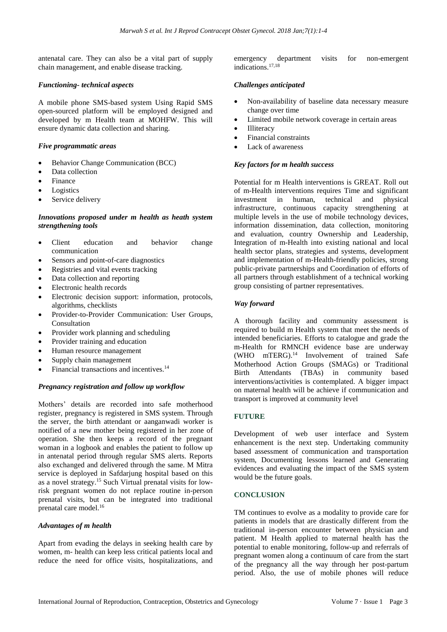antenatal care. They can also be a vital part of supply chain management, and enable disease tracking.

#### *Functioning- technical aspects*

A mobile phone SMS-based system Using Rapid SMS open-sourced platform will be employed designed and developed by m Health team at MOHFW. This will ensure dynamic data collection and sharing.

# *Five programmatic areas*

- Behavior Change Communication (BCC)
- Data collection
- **Finance**
- **Logistics**
- Service delivery

## *Innovations proposed under m health as heath system strengthening tools*

- Client education and behavior change communication
- Sensors and point-of-care diagnostics
- Registries and vital events tracking
- Data collection and reporting
- Electronic health records
- Electronic decision support: information, protocols, algorithms, checklists
- Provider-to-Provider Communication: User Groups, Consultation
- Provider work planning and scheduling
- Provider training and education
- Human resource management
- Supply chain management
- Financial transactions and incentives.<sup>14</sup>

# *Pregnancy registration and follow up workflow*

Mothers' details are recorded into safe motherhood register, pregnancy is registered in SMS system. Through the server, the birth attendant or aanganwadi worker is notified of a new mother being registered in her zone of operation. She then keeps a record of the pregnant woman in a logbook and enables the patient to follow up in antenatal period through regular SMS alerts. Reports also exchanged and delivered through the same. M Mitra service is deployed in Safdarjung hospital based on this as a novel strategy.<sup>15</sup> Such Virtual prenatal visits for lowrisk pregnant women do not replace routine in-person prenatal visits, but can be integrated into traditional prenatal care model.<sup>16</sup>

#### *Advantages of m health*

Apart from evading the delays in seeking health care by women, m- health can keep less critical patients local and reduce the need for office visits, hospitalizations, and emergency department visits for non-emergent indications.17,18

#### *Challenges anticipated*

- Non-availability of baseline data necessary measure change over time
- Limited mobile network coverage in certain areas
- **Illiteracy**
- Financial constraints
- Lack of awareness

#### *Key factors for m health success*

Potential for m Health interventions is GREAT. Roll out of m-Health interventions requires Time and significant investment in human, technical and infrastructure, continuous capacity strengthening at multiple levels in the use of mobile technology devices, information dissemination, data collection, monitoring and evaluation, country Ownership and Leadership, Integration of m-Health into existing national and local health sector plans, strategies and systems, development and implementation of m-Health-friendly policies, strong public-private partnerships and Coordination of efforts of all partners through establishment of a technical working group consisting of partner representatives.

# *Way forward*

A thorough facility and community assessment is required to build m Health system that meet the needs of intended beneficiaries. Efforts to catalogue and grade the m-Health for RMNCH evidence base are underway (WHO [mTERG\)](http://www.who.int/reproductivehealth/topics/mhealth/mterg/en/).<sup>14</sup> Involvement of trained Safe Motherhood Action Groups (SMAGs) or Traditional Birth Attendants (TBAs) in community based interventions/activities is contemplated. A bigger impact on maternal health will be achieve if communication and transport is improved at community level

# **FUTURE**

Development of web user interface and System enhancement is the next step. Undertaking community based assessment of communication and transportation system, Documenting lessons learned and Generating evidences and evaluating the impact of the SMS system would be the future goals.

# **CONCLUSION**

TM continues to evolve as a modality to provide care for patients in models that are drastically different from the traditional in-person encounter between physician and patient. M Health applied to maternal health has the potential to enable monitoring, follow-up and referrals of pregnant women along a continuum of care from the start of the pregnancy all the way through her post-partum period. Also, the use of mobile phones will reduce